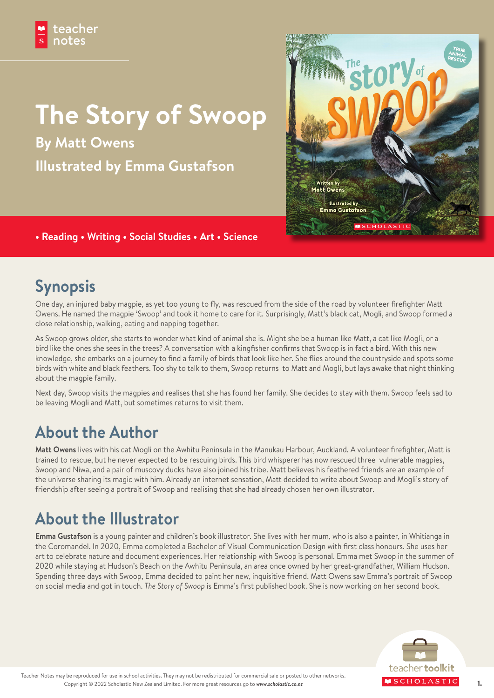# **The Story of Swoop**

**By Matt Owens Illustrated by Emma Gustafson**



### **• Reading • Writing • Social Studies • Art • Science**

# **Synopsis**

One day, an injured baby magpie, as yet too young to fly, was rescued from the side of the road by volunteer firefighter Matt Owens. He named the magpie 'Swoop' and took it home to care for it. Surprisingly, Matt's black cat, Mogli, and Swoop formed a close relationship, walking, eating and napping together.

As Swoop grows older, she starts to wonder what kind of animal she is. Might she be a human like Matt, a cat like Mogli, or a bird like the ones she sees in the trees? A conversation with a kingfisher confirms that Swoop is in fact a bird. With this new knowledge, she embarks on a journey to find a family of birds that look like her. She flies around the countryside and spots some birds with white and black feathers. Too shy to talk to them, Swoop returns to Matt and Mogli, but lays awake that night thinking about the magpie family.

Next day, Swoop visits the magpies and realises that she has found her family. She decides to stay with them. Swoop feels sad to be leaving Mogli and Matt, but sometimes returns to visit them.

# **About the Author**

**Matt Owens** lives with his cat Mogli on the Awhitu Peninsula in the Manukau Harbour, Auckland. A volunteer firefighter, Matt is trained to rescue, but he never expected to be rescuing birds. This bird whisperer has now rescued three vulnerable magpies, Swoop and Niwa, and a pair of muscovy ducks have also joined his tribe. Matt believes his feathered friends are an example of the universe sharing its magic with him. Already an internet sensation, Matt decided to write about Swoop and Mogli's story of friendship after seeing a portrait of Swoop and realising that she had already chosen her own illustrator.

# **About the Illustrator**

**Emma Gustafson** is a young painter and children's book illustrator. She lives with her mum, who is also a painter, in Whitianga in the Coromandel. In 2020, Emma completed a Bachelor of Visual Communication Design with first class honours. She uses her art to celebrate nature and document experiences. Her relationship with Swoop is personal. Emma met Swoop in the summer of 2020 while staying at Hudson's Beach on the Awhitu Peninsula, an area once owned by her great-grandfather, William Hudson. Spending three days with Swoop, Emma decided to paint her new, inquisitive friend. Matt Owens saw Emma's portrait of Swoop on social media and got in touch. *The Story of Swoop* is Emma's first published book. She is now working on her second book.

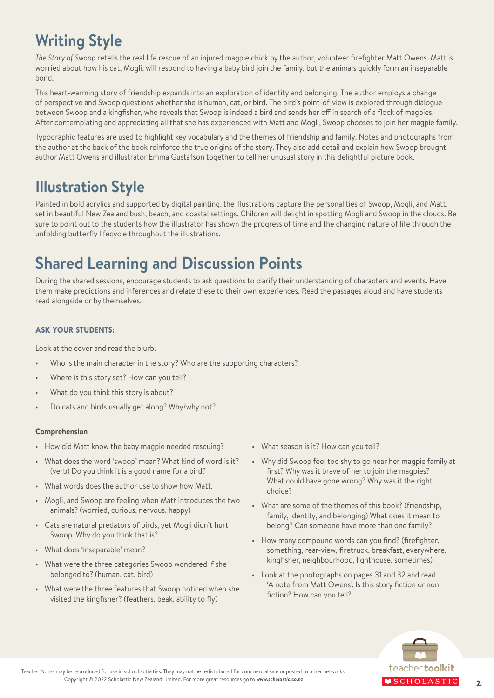# **Writing Style**

*The Story of Swoop* retells the real life rescue of an injured magpie chick by the author, volunteer firefighter Matt Owens. Matt is worried about how his cat, Mogli, will respond to having a baby bird join the family, but the animals quickly form an inseparable bond.

This heart-warming story of friendship expands into an exploration of identity and belonging. The author employs a change of perspective and Swoop questions whether she is human, cat, or bird. The bird's point-of-view is explored through dialogue between Swoop and a kingfisher, who reveals that Swoop is indeed a bird and sends her off in search of a flock of magpies. After contemplating and appreciating all that she has experienced with Matt and Mogli, Swoop chooses to join her magpie family.

Typographic features are used to highlight key vocabulary and the themes of friendship and family. Notes and photographs from the author at the back of the book reinforce the true origins of the story. They also add detail and explain how Swoop brought author Matt Owens and illustrator Emma Gustafson together to tell her unusual story in this delightful picture book.

## **Illustration Style**

Painted in bold acrylics and supported by digital painting, the illustrations capture the personalities of Swoop, Mogli, and Matt, set in beautiful New Zealand bush, beach, and coastal settings. Children will delight in spotting Mogli and Swoop in the clouds. Be sure to point out to the students how the illustrator has shown the progress of time and the changing nature of life through the unfolding butterfly lifecycle throughout the illustrations.

# **Shared Learning and Discussion Points**

During the shared sessions, encourage students to ask questions to clarify their understanding of characters and events. Have them make predictions and inferences and relate these to their own experiences. Read the passages aloud and have students read alongside or by themselves.

### **ASK YOUR STUDENTS:**

Look at the cover and read the blurb.

- Who is the main character in the story? Who are the supporting characters?
- Where is this story set? How can you tell?
- What do you think this story is about?
- Do cats and birds usually get along? Why/why not?

### **Comprehension**

- How did Matt know the baby magpie needed rescuing?
- What does the word 'swoop' mean? What kind of word is it? (verb) Do you think it is a good name for a bird?
- What words does the author use to show how Matt,
- Mogli, and Swoop are feeling when Matt introduces the two animals? (worried, curious, nervous, happy)
- Cats are natural predators of birds, yet Mogli didn't hurt Swoop. Why do you think that is?
- What does 'inseparable' mean?
- What were the three categories Swoop wondered if she belonged to? (human, cat, bird)
- What were the three features that Swoop noticed when she visited the kingfisher? (feathers, beak, ability to fly)
- What season is it? How can you tell?
- Why did Swoop feel too shy to go near her magpie family at first? Why was it brave of her to join the magpies? What could have gone wrong? Why was it the right choice?
- What are some of the themes of this book? (friendship, family, identity, and belonging) What does it mean to belong? Can someone have more than one family?
- How many compound words can you find? (firefighter, something, rear-view, firetruck, breakfast, everywhere, kingfisher, neighbourhood, lighthouse, sometimes)
- Look at the photographs on pages 31 and 32 and read 'A note from Matt Owens'. Is this story fiction or nonfiction? How can you tell?